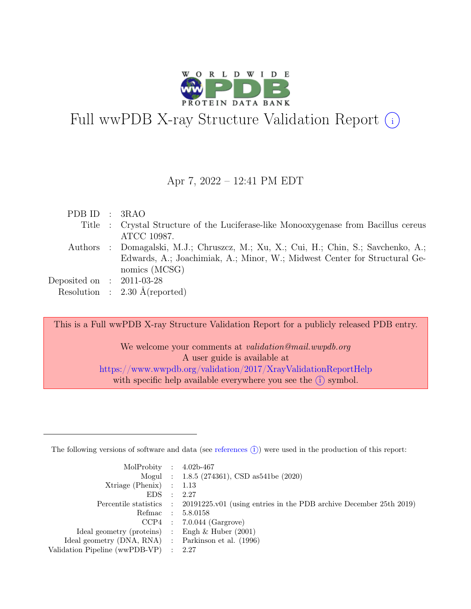

# Full wwPDB X-ray Structure Validation Report  $(i)$

#### Apr 7, 2022 – 12:41 PM EDT

| PDB ID : 3RAO               |                                                                                     |
|-----------------------------|-------------------------------------------------------------------------------------|
|                             | Title : Crystal Structure of the Luciferase-like Monooxygenase from Bacillus cereus |
|                             | ATCC 10987.                                                                         |
|                             | Authors : Domagalski, M.J.; Chruszcz, M.; Xu, X.; Cui, H.; Chin, S.; Savchenko, A.; |
|                             | Edwards, A.; Joachimiak, A.; Minor, W.; Midwest Center for Structural Ge-           |
|                             | nomics (MCSG)                                                                       |
| Deposited on : $2011-03-28$ |                                                                                     |
|                             | Resolution : $2.30 \text{ Å}$ (reported)                                            |
|                             |                                                                                     |

This is a Full wwPDB X-ray Structure Validation Report for a publicly released PDB entry.

We welcome your comments at *validation@mail.wwpdb.org* A user guide is available at <https://www.wwpdb.org/validation/2017/XrayValidationReportHelp> with specific help available everywhere you see the  $(i)$  symbol.

The following versions of software and data (see [references](https://www.wwpdb.org/validation/2017/XrayValidationReportHelp#references)  $(i)$ ) were used in the production of this report:

| MolProbity : $4.02b-467$                            |                                                                                            |
|-----------------------------------------------------|--------------------------------------------------------------------------------------------|
|                                                     | Mogul : 1.8.5 (274361), CSD as 541be (2020)                                                |
| Xtriage (Phenix) $: 1.13$                           |                                                                                            |
| $EDS$ :                                             | 2.27                                                                                       |
|                                                     | Percentile statistics : 20191225.v01 (using entries in the PDB archive December 25th 2019) |
|                                                     | Refmac : 5.8.0158                                                                          |
|                                                     | $CCP4$ : 7.0.044 (Gargrove)                                                                |
| Ideal geometry (proteins) : Engh $\&$ Huber (2001)  |                                                                                            |
| Ideal geometry (DNA, RNA) : Parkinson et al. (1996) |                                                                                            |
| Validation Pipeline (wwPDB-VP) : 2.27               |                                                                                            |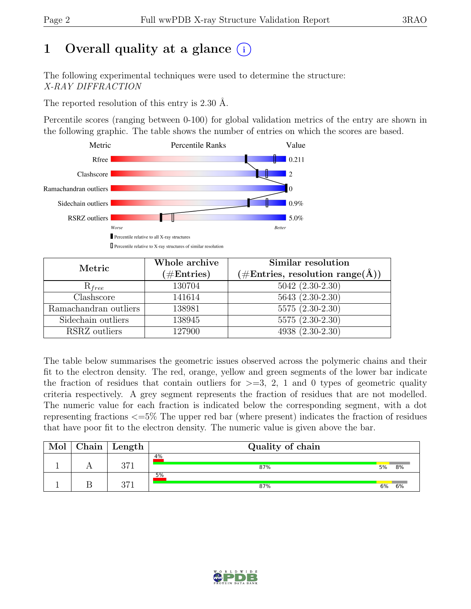# 1 Overall quality at a glance  $(i)$

The following experimental techniques were used to determine the structure: X-RAY DIFFRACTION

The reported resolution of this entry is 2.30 Å.

Percentile scores (ranging between 0-100) for global validation metrics of the entry are shown in the following graphic. The table shows the number of entries on which the scores are based.



| Metric                | Whole archive<br>$(\#Entries)$ | Similar resolution<br>$(\# \text{Entries}, \text{ resolution } \text{range}(\AA))$ |  |  |
|-----------------------|--------------------------------|------------------------------------------------------------------------------------|--|--|
| $R_{free}$            | 130704                         | $5042 (2.30-2.30)$                                                                 |  |  |
| Clashscore            | 141614                         | $5643(2.30-2.30)$                                                                  |  |  |
| Ramachandran outliers | 138981                         | $5575(2.30-2.30)$                                                                  |  |  |
| Sidechain outliers    | 138945                         | $5575(2.30-2.30)$                                                                  |  |  |
| RSRZ outliers         | 127900                         | 4938 (2.30-2.30)                                                                   |  |  |

The table below summarises the geometric issues observed across the polymeric chains and their fit to the electron density. The red, orange, yellow and green segments of the lower bar indicate the fraction of residues that contain outliers for  $\geq$ =3, 2, 1 and 0 types of geometric quality criteria respectively. A grey segment represents the fraction of residues that are not modelled. The numeric value for each fraction is indicated below the corresponding segment, with a dot representing fractions <=5% The upper red bar (where present) indicates the fraction of residues that have poor fit to the electron density. The numeric value is given above the bar.

| Mol | Chain ' | Length | Quality of chain |    |    |  |  |
|-----|---------|--------|------------------|----|----|--|--|
|     |         | 971    | 4%<br>87%        | 5% | 8% |  |  |
|     |         | 971    | 5%<br>87%        | 6% | 6% |  |  |

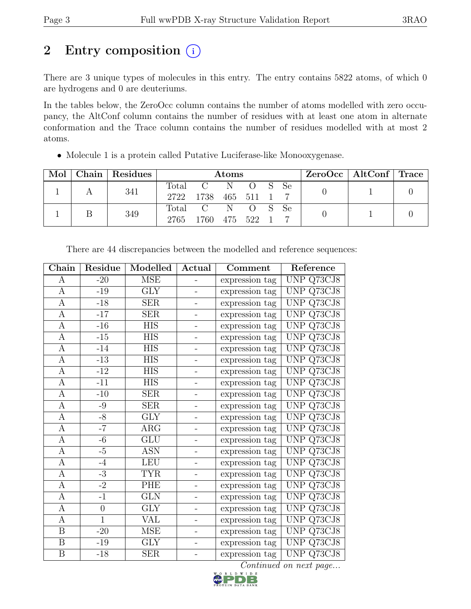# 2 Entry composition  $(i)$

There are 3 unique types of molecules in this entry. The entry contains 5822 atoms, of which 0 are hydrogens and 0 are deuteriums.

In the tables below, the ZeroOcc column contains the number of atoms modelled with zero occupancy, the AltConf column contains the number of residues with at least one atom in alternate conformation and the Trace column contains the number of residues modelled with at most 2 atoms.

|  | Mol   Chain   Residues |                          | Atoms                                     |  |  |  | ZeroOcc   AltConf   Trace |  |  |
|--|------------------------|--------------------------|-------------------------------------------|--|--|--|---------------------------|--|--|
|  | 341                    |                          | Total C N O S Se<br>2722 1738 465 511 1 7 |  |  |  |                           |  |  |
|  | 349                    | Total C N O S Se<br>2765 | 1760 475 522 1                            |  |  |  |                           |  |  |

• Molecule 1 is a protein called Putative Luciferase-like Monooxygenase.

| ${\rm Chain}$    | Residue          | Modelled   | Actual                   | Comment        | Reference    |
|------------------|------------------|------------|--------------------------|----------------|--------------|
| A                | $-20$            | MSE        |                          | expression tag | UNP Q73CJ8   |
| A                | $-19$            | <b>GLY</b> |                          | expression tag | UNP Q73CJ8   |
| A                | $-18$            | <b>SER</b> |                          | expression tag | UNP Q73CJ8   |
| $\boldsymbol{A}$ | $-17$            | SER        |                          | expression tag | UNP Q73CJ8   |
| $\mathbf{A}$     | $-16$            | <b>HIS</b> | ÷                        | expression tag | UNP Q73CJ8   |
| A                | $-15$            | <b>HIS</b> | $\qquad \qquad -$        | expression tag | UNP Q73CJ8   |
| $\mathbf{A}$     | $-14$            | <b>HIS</b> | $\qquad \qquad -$        | expression tag | UNP Q73CJ8   |
| A                | $-13$            | <b>HIS</b> | -                        | expression tag | UNP Q73CJ8   |
| $\mathbf{A}$     | $-12$            | <b>HIS</b> | -                        | expression tag | UNP Q73CJ8   |
| A                | $-11$            | <b>HIS</b> | $\qquad \qquad -$        | expression tag | $UNP$ Q73CJ8 |
| $\mathbf{A}$     | $-10$            | <b>SER</b> |                          | expression tag | UNP Q73CJ8   |
| $\boldsymbol{A}$ | -9               | SER        |                          | expression tag | UNP Q73CJ8   |
| A                | $-8$             | <b>GLY</b> |                          | expression tag | UNP Q73CJ8   |
| $\mathbf{A}$     | $-7$             | ARG        | -                        | expression tag | UNP Q73CJ8   |
| A                | $-6$             | GLU        | $\qquad \qquad -$        | expression tag | UNP Q73CJ8   |
| $\mathbf{A}$     | $-5$             | <b>ASN</b> | -                        | expression tag | UNP Q73CJ8   |
| $\mathbf{A}$     | $-4$             | LEU        | -                        | expression tag | UNP Q73CJ8   |
| $\mathbf{A}$     | $-3$             | <b>TYR</b> | -                        | expression tag | UNP Q73CJ8   |
| $\bf{A}$         | $-2$             | PHE        | $\overline{\phantom{0}}$ | expression tag | UNP Q73CJ8   |
| A                | $-1$             | GLN        | -                        | expression tag | UNP Q73CJ8   |
| $\boldsymbol{A}$ | $\boldsymbol{0}$ | <b>GLY</b> |                          | expression tag | UNP Q73CJ8   |
| $\mathbf{A}$     | $\mathbf{1}$     | VAL        | -                        | expression tag | UNP Q73CJ8   |
| B                | $-20$            | <b>MSE</b> |                          | expression tag | UNP Q73CJ8   |
| $\, {\bf B}$     | $-19$            | <b>GLY</b> | Ξ.                       | expression tag | UNP Q73CJ8   |
| $\, {\bf B}$     | $-18$            | SER        | -                        | expression tag | UNP Q73CJ8   |

There are 44 discrepancies between the modelled and reference sequences:

Continued on next page...

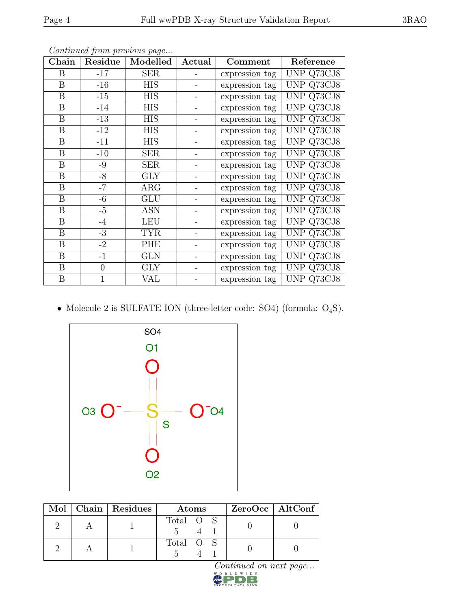| ${\rm Chain}$    | Residue        | Modelled    | Actual | Comment        | Reference  |
|------------------|----------------|-------------|--------|----------------|------------|
| $\boldsymbol{B}$ | $-17$          | ${\rm SER}$ |        | expression tag | UNP Q73CJ8 |
| B                | $-16$          | <b>HIS</b>  |        | expression tag | UNP Q73CJ8 |
| B                | $-15$          | <b>HIS</b>  |        | expression tag | UNP Q73CJ8 |
| B                | $-14$          | <b>HIS</b>  |        | expression tag | UNP Q73CJ8 |
| $\boldsymbol{B}$ | $-13$          | <b>HIS</b>  |        | expression tag | UNP Q73CJ8 |
| B                | $-12$          | <b>HIS</b>  |        | expression tag | UNP Q73CJ8 |
| B                | $-11$          | <b>HIS</b>  |        | expression tag | UNP Q73CJ8 |
| B                | $-10$          | ${\rm SER}$ |        | expression tag | UNP Q73CJ8 |
| $\boldsymbol{B}$ | $-9$           | ${\rm SER}$ |        | expression tag | UNP Q73CJ8 |
| $\boldsymbol{B}$ | $-8$           | GLY         |        | expression tag | UNP Q73CJ8 |
| B                | $-7$           | $\rm{ARG}$  |        | expression tag | UNP Q73CJ8 |
| $\boldsymbol{B}$ | $-6$           | GLU         |        | expression tag | UNP Q73CJ8 |
| $\boldsymbol{B}$ | $-5$           | <b>ASN</b>  |        | expression tag | UNP Q73CJ8 |
| $\boldsymbol{B}$ | $-4$           | <b>LEU</b>  |        | expression tag | UNP Q73CJ8 |
| B                | $-3$           | <b>TYR</b>  |        | expression tag | UNP Q73CJ8 |
| B                | $-2$           | PHE         |        | expression tag | UNP Q73CJ8 |
| $\boldsymbol{B}$ | $-1$           | GLN         |        | expression tag | UNP Q73CJ8 |
| B                | $\overline{0}$ | <b>GLY</b>  |        | expression tag | UNP Q73CJ8 |
| $\, {\bf B}$     |                | VAL         |        | expression tag | UNP Q73CJ8 |

Continued from previous page...

• Molecule 2 is SULFATE ION (three-letter code: SO4) (formula: O<sub>4</sub>S).



|  | $Mol$   Chain   Residues | Atoms     | $ZeroOcc$   AltConf |
|--|--------------------------|-----------|---------------------|
|  |                          | Total O S |                     |
|  |                          | Total O S |                     |

Continued on next page...<br> $\sum_{\mathbf{x} \in \mathbb{R}} \mathbb{E}[\mathbf{x}] \times \mathbb{E}[\mathbf{x}]$ 

**BANK**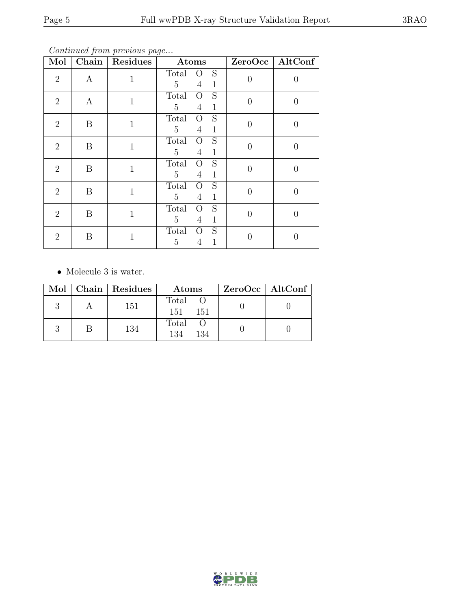Continued from previous page...

| Mol            | Chain            | <b>Residues</b> | Atoms                                                                                                |                | ZeroOcc   AltConf |
|----------------|------------------|-----------------|------------------------------------------------------------------------------------------------------|----------------|-------------------|
| $\overline{2}$ | $\boldsymbol{A}$ | 1               | Total<br>S<br>$\rm{O}$<br>$5\overline{)}$<br>$\overline{4}$<br>$\mathbf{1}$                          | $\theta$       | $\left( \right)$  |
| $\overline{2}$ | $\boldsymbol{A}$ | $\mathbf{1}$    | $\overline{S}$<br><b>Total</b><br>$\overline{O}$<br>$\overline{5}$<br>$\overline{4}$<br>$\mathbf{1}$ | $\overline{0}$ | 0                 |
| $\overline{2}$ | B                | 1               | $\overline{S}$<br>Total<br>$\overline{O}$<br>$5\overline{)}$<br>$\mathbf{1}$<br>4                    | $\overline{0}$ | 0                 |
| $\overline{2}$ | B                | $\mathbf{1}$    | S<br>Total<br>$\overline{O}$<br>$5\overline{)}$<br>$\overline{4}$<br>$\mathbf{1}$                    | $\overline{0}$ | 0                 |
| $\overline{2}$ | B                | $\mathbf{1}$    | S<br>Total<br>$\overline{O}$<br>$\overline{5}$<br>$\overline{4}$<br>$\mathbf{1}$                     | $\Omega$       | $\theta$          |
| $\overline{2}$ | B                | 1               | S<br>Total<br>$\overline{O}$<br>5<br>$\mathbf{1}$<br>4                                               | $\theta$       | 0                 |
| $\overline{2}$ | B                | 1               | S<br>Total<br>$\Omega$<br>5<br>$\overline{4}$<br>$\mathbf{1}$                                        | $\theta$       | 0                 |
| $\overline{2}$ | B                | $\mathbf{1}$    | S<br>Total<br>$\Omega$<br>5<br>1<br>4                                                                | 0              |                   |

• Molecule 3 is water.

|  | Mol   Chain   Residues | Atoms                 | $ZeroOcc \   \$ AltConf |
|--|------------------------|-----------------------|-------------------------|
|  | 151                    | Total O<br>151<br>151 |                         |
|  | 134                    | Total O<br>134<br>134 |                         |

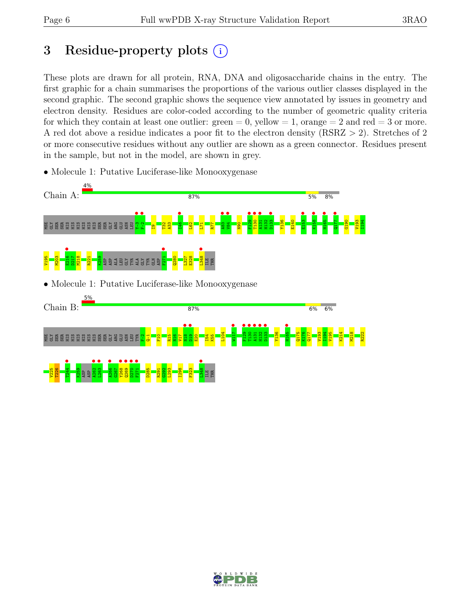# 3 Residue-property plots  $(i)$

These plots are drawn for all protein, RNA, DNA and oligosaccharide chains in the entry. The first graphic for a chain summarises the proportions of the various outlier classes displayed in the second graphic. The second graphic shows the sequence view annotated by issues in geometry and electron density. Residues are color-coded according to the number of geometric quality criteria for which they contain at least one outlier:  $green = 0$ , yellow  $= 1$ , orange  $= 2$  and red  $= 3$  or more. A red dot above a residue indicates a poor fit to the electron density (RSRZ > 2). Stretches of 2 or more consecutive residues without any outlier are shown as a green connector. Residues present in the sample, but not in the model, are shown in grey.



• Molecule 1: Putative Luciferase-like Monooxygenase

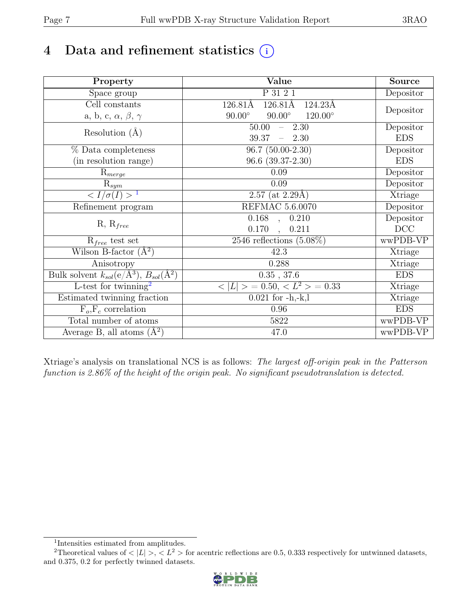# 4 Data and refinement statistics  $(i)$

| Property                                                             | Value                                            | Source     |
|----------------------------------------------------------------------|--------------------------------------------------|------------|
| Space group                                                          | P 31 2 1                                         | Depositor  |
| Cell constants                                                       | $126.81\text{\AA}$<br>126.81Å<br>124.23Å         |            |
| a, b, c, $\alpha$ , $\beta$ , $\gamma$                               | $90.00^\circ$<br>$90.00^\circ$<br>$120.00^\circ$ | Depositor  |
| Resolution $(A)$                                                     | 50.00<br>$-2.30$                                 | Depositor  |
|                                                                      | 39.37<br>$-2.30$                                 | <b>EDS</b> |
| % Data completeness                                                  | $96.7(50.00-2.30)$                               | Depositor  |
| (in resolution range)                                                | $96.6$ $(39.37-2.30)$                            | <b>EDS</b> |
| $R_{merge}$                                                          | 0.09                                             | Depositor  |
| $\mathrm{R}_{sym}$                                                   | 0.09                                             | Depositor  |
| $\sqrt{I/\sigma}(I) > 1$                                             | $2.57$ (at 2.29Å)                                | Xtriage    |
| Refinement program                                                   | <b>REFMAC 5.6.0070</b>                           | Depositor  |
|                                                                      | $\overline{0.168}$ ,<br>0.210                    | Depositor  |
| $R, R_{free}$                                                        | 0.170<br>0.211<br>$\ddot{\phantom{0}}$           | DCC        |
| $R_{free}$ test set                                                  | 2546 reflections $(5.08\%)$                      | wwPDB-VP   |
| Wilson B-factor $(A^2)$                                              | 42.3                                             | Xtriage    |
| Anisotropy                                                           | 0.288                                            | Xtriage    |
| Bulk solvent $k_{sol}(e/\mathring{A}^3)$ , $B_{sol}(\mathring{A}^2)$ | $0.35$ , 37.6                                    | <b>EDS</b> |
| L-test for twinning <sup>2</sup>                                     | $< L >$ = 0.50, $< L^2 >$ = 0.33                 | Xtriage    |
| Estimated twinning fraction                                          | $0.021$ for $-h,-k,l$                            | Xtriage    |
| $F_o, F_c$ correlation                                               | 0.96                                             | <b>EDS</b> |
| Total number of atoms                                                | 5822                                             | wwPDB-VP   |
| Average B, all atoms $(A^2)$                                         | 47.0                                             | wwPDB-VP   |

Xtriage's analysis on translational NCS is as follows: The largest off-origin peak in the Patterson function is 2.86% of the height of the origin peak. No significant pseudotranslation is detected.

<sup>&</sup>lt;sup>2</sup>Theoretical values of  $\langle |L| \rangle$ ,  $\langle L^2 \rangle$  for acentric reflections are 0.5, 0.333 respectively for untwinned datasets, and 0.375, 0.2 for perfectly twinned datasets.



<span id="page-6-1"></span><span id="page-6-0"></span><sup>1</sup> Intensities estimated from amplitudes.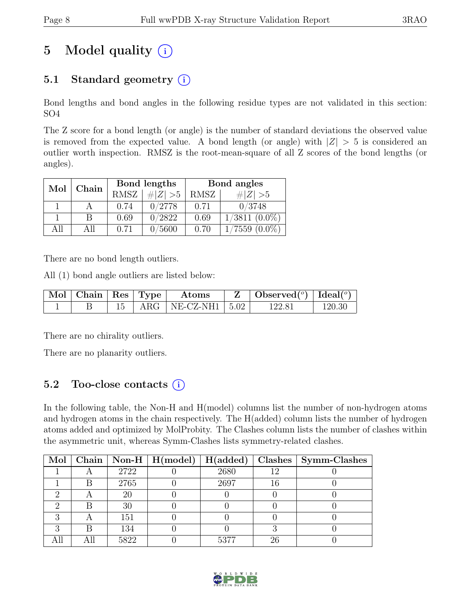# 5 Model quality  $(i)$

## 5.1 Standard geometry  $(i)$

Bond lengths and bond angles in the following residue types are not validated in this section: SO4

The Z score for a bond length (or angle) is the number of standard deviations the observed value is removed from the expected value. A bond length (or angle) with  $|Z| > 5$  is considered an outlier worth inspection. RMSZ is the root-mean-square of all Z scores of the bond lengths (or angles).

| Mol  | Chain |             | Bond lengths | Bond angles |                 |  |
|------|-------|-------------|--------------|-------------|-----------------|--|
|      |       | <b>RMSZ</b> | $\# Z  > 5$  | RMSZ        | $\# Z  > 5$     |  |
|      |       | 0.74        | 0/2778       | 0.71        | 0/3748          |  |
|      | В     | 0.69        | 0/2822       | 0.69        | $1/3811(0.0\%)$ |  |
| A 11 | All   | 0.71        | 0/5600       | 0.70        | $1/7559(0.0\%)$ |  |

There are no bond length outliers.

All (1) bond angle outliers are listed below:

| $\mid$ Mol $\mid$ Chain $\mid$ Res $\mid$ Type $\mid$ |  | $\boldsymbol{\mathrm{Atoms}}$   | $\mathbf{Z}$   Observed( $^o$ )   Ideal( $^o$ ) |        |
|-------------------------------------------------------|--|---------------------------------|-------------------------------------------------|--------|
|                                                       |  | $15$   ARG   NE-CZ-NH1   $5.02$ | 122.81                                          | 120.30 |

There are no chirality outliers.

There are no planarity outliers.

### 5.2 Too-close contacts  $(i)$

In the following table, the Non-H and H(model) columns list the number of non-hydrogen atoms and hydrogen atoms in the chain respectively. The H(added) column lists the number of hydrogen atoms added and optimized by MolProbity. The Clashes column lists the number of clashes within the asymmetric unit, whereas Symm-Clashes lists symmetry-related clashes.

| Mol |   |      | $\boxed{\text{Chain}}$   Non-H   H(model) | H(added) |     | Clashes   Symm-Clashes |
|-----|---|------|-------------------------------------------|----------|-----|------------------------|
|     |   | 2722 |                                           | 2680     | 1 ດ |                        |
|     |   | 2765 |                                           | 2697     |     |                        |
|     |   | 20   |                                           |          |     |                        |
|     |   | 30   |                                           |          |     |                        |
|     |   | 151  |                                           |          |     |                        |
|     | R | 134  |                                           |          |     |                        |
|     |   | 5822 |                                           | 5377     | 26  |                        |

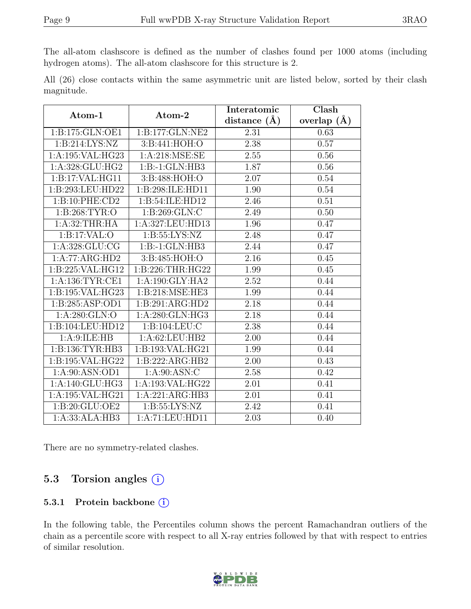The all-atom clashscore is defined as the number of clashes found per 1000 atoms (including hydrogen atoms). The all-atom clashscore for this structure is 2.

All (26) close contacts within the same asymmetric unit are listed below, sorted by their clash magnitude.

| Atom-1                        | Atom-2                    | Interatomic       | Clash         |  |
|-------------------------------|---------------------------|-------------------|---------------|--|
|                               |                           | distance $(\AA)$  | overlap $(A)$ |  |
| 1:B:175:GLN:OE1               | 1:B:177:GLN:NE2           | 2.31              | 0.63          |  |
| 1:B:214:LYS:NZ                | 3:B:441:HOH:O             | 2.38              | 0.57          |  |
| 1:A:195:VAL:HG23              | $1: A:218: \text{MSE:SE}$ | 2.55              | 0.56          |  |
| 1:A:328:GLU:HG2               | $1:B: -1:GLN: HB3$        | 1.87              | 0.56          |  |
| 1:B:17:VAL:HG11               | 3:B:488:HOH:O             | 2.07              | 0.54          |  |
| 1:B:293:LEU:HD22              | 1:B:298:ILE:HD11          | 1.90              | 0.54          |  |
| 1:B:10:PHE:CD2                | 1:B:54:ILE:HD12           | 2.46              | 0.51          |  |
| 1: B:268: TYR:O               | 1:B:269:GLN:C             | 2.49              | 0.50          |  |
| 1:A:32:THR:HA                 | 1:A:327:LEU:HD13          | 1.96              | 0.47          |  |
| 1:B:17:VAL:O                  | 1: B: 55: LYS: NZ         | 2.48              | 0.47          |  |
| 1:A:328:GLU:CG                | $1:B: -1:GLN:HB3$         | 2.44              | 0.47          |  |
| 1:A:77:ARG:HD2                | 3: B:485: HOH:O           | $\overline{2.16}$ | 0.45          |  |
| 1:B:225:VAL:HG12              | 1:B:226:THR:HG22          | 1.99              | 0.45          |  |
| 1: A: 136: TYR: CE1           | 1:A:190:GLY:HA2           | 2.52              | 0.44          |  |
| 1:B:195:VAL:HG23              | 1:B:218:MSE:HE3           | 1.99              | 0.44          |  |
| 1:B:285:ASP:OD1               | 1:B:291:ARG:HD2           | 2.18              | 0.44          |  |
| 1:A:280:GLN:O                 | 1:A:280:GLN:HG3           | 2.18              | 0.44          |  |
| 1:B:104:LEU:HD12              | 1:B:104:LEU:C             | 2.38              | 0.44          |  |
| 1: A:9: ILE: HB               | 1:A:62:LEU:HB2            | 2.00              | 0.44          |  |
| 1:B:136:TYR:HB3               | 1:B:193:VAL:HG21          | 1.99              | 0.44          |  |
| 1:B:195:VAL:HG22              | 1:B:222:ARG:HB2           | 2.00              | 0.43          |  |
| $1: A:90: \overline{ASN:OD1}$ | 1: A:90: ASN: C           | 2.58              | 0.42          |  |
| 1:A:140:GLU:HG3               | 1:A:193:VAL:HG22          | 2.01              | 0.41          |  |
| 1:A:195:VAL:HG21              | 1:A:221:ARG:HB3           | 2.01              | 0.41          |  |
| 1:B:20:GLU:OE2                | 1: B: 55: LYS: NZ         | 2.42              | 0.41          |  |
| 1:A:33:ALA:HB3                | 1:A:71:LEU:HD11           | 2.03              | 0.40          |  |

There are no symmetry-related clashes.

### 5.3 Torsion angles  $(i)$

#### 5.3.1 Protein backbone (i)

In the following table, the Percentiles column shows the percent Ramachandran outliers of the chain as a percentile score with respect to all X-ray entries followed by that with respect to entries of similar resolution.

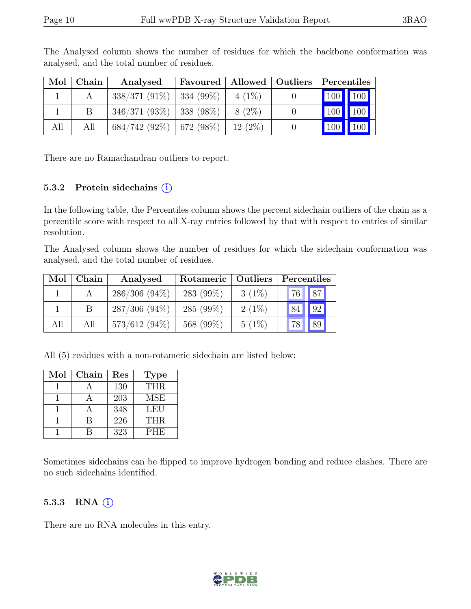| Mol | $\mid$ Chain | Analysed                     | Favoured   Allowed   Outliers |           | $\vert$ Percentiles |  |
|-----|--------------|------------------------------|-------------------------------|-----------|---------------------|--|
|     |              | $338/371(91\%)$ 334 (99\%)   |                               | $4(1\%)$  | 100 100             |  |
|     |              | $346/371(93\%)$   338 (98\%) |                               | 8 (2\%)   | 100 100             |  |
| All | All          | $684/742(92\%)$ 672 (98\%)   |                               | $12(2\%)$ | 100 100             |  |

The Analysed column shows the number of residues for which the backbone conformation was analysed, and the total number of residues.

There are no Ramachandran outliers to report.

#### 5.3.2 Protein sidechains  $(i)$

In the following table, the Percentiles column shows the percent sidechain outliers of the chain as a percentile score with respect to all X-ray entries followed by that with respect to entries of similar resolution.

The Analysed column shows the number of residues for which the sidechain conformation was analysed, and the total number of residues.

| Mol | Chain | Analysed        | Rotameric   Outliers |          | Percentiles |
|-----|-------|-----------------|----------------------|----------|-------------|
|     |       | $286/306(94\%)$ | 283 (99%)            | $3(1\%)$ | 87 <br>76   |
|     |       | $287/306(94\%)$ | 285 $(99\%)$         | $2(1\%)$ | 92<br>84    |
| All | All   | $573/612(94\%)$ | 568 (99%)            | $5(1\%)$ | 89<br>78    |

All (5) residues with a non-rotameric sidechain are listed below:

| Mol | Chain | Res | <b>Type</b> |
|-----|-------|-----|-------------|
|     |       | 130 | THR.        |
|     |       | 203 | <b>MSE</b>  |
|     |       | 348 | <b>LEU</b>  |
|     |       | 226 | <b>THR</b>  |
|     |       | 323 | <b>PHE</b>  |

Sometimes sidechains can be flipped to improve hydrogen bonding and reduce clashes. There are no such sidechains identified.

#### 5.3.3 RNA  $(i)$

There are no RNA molecules in this entry.

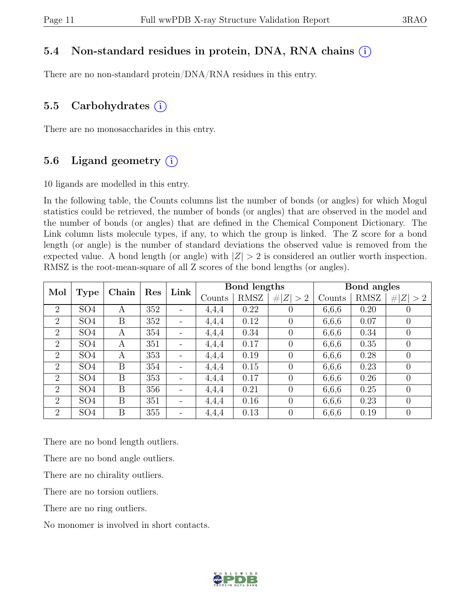### 5.4 Non-standard residues in protein, DNA, RNA chains (i)

There are no non-standard protein/DNA/RNA residues in this entry.

### 5.5 Carbohydrates  $(i)$

There are no monosaccharides in this entry.

### 5.6 Ligand geometry  $(i)$

10 ligands are modelled in this entry.

In the following table, the Counts columns list the number of bonds (or angles) for which Mogul statistics could be retrieved, the number of bonds (or angles) that are observed in the model and the number of bonds (or angles) that are defined in the Chemical Component Dictionary. The Link column lists molecule types, if any, to which the group is linked. The Z score for a bond length (or angle) is the number of standard deviations the observed value is removed from the expected value. A bond length (or angle) with  $|Z| > 2$  is considered an outlier worth inspection. RMSZ is the root-mean-square of all Z scores of the bond lengths (or angles).

| Mol            |                 | Chain | Link<br>Res |                              |       | Bond lengths |                |       | Bond angles |                |         |        |      |         |
|----------------|-----------------|-------|-------------|------------------------------|-------|--------------|----------------|-------|-------------|----------------|---------|--------|------|---------|
|                | <b>Type</b>     |       |             |                              |       |              |                |       | Counts      | RMSZ           | Z   > 2 | Counts | RMSZ | Z   > 2 |
| $\overline{2}$ | SO <sub>4</sub> | A     | 352         | $\overline{\phantom{a}}$     | 4,4,4 | 0.22         | $\theta$       | 6,6,6 | 0.20        | $\theta$       |         |        |      |         |
| $\overline{2}$ | SO <sub>4</sub> | B     | 352         | $\qquad \qquad \blacksquare$ | 4,4,4 | 0.12         | $\overline{0}$ | 6,6,6 | 0.07        | $\theta$       |         |        |      |         |
| $\overline{2}$ | SO <sub>4</sub> | A     | 354         | $\qquad \qquad -$            | 4,4,4 | 0.34         | $\overline{0}$ | 6,6,6 | 0.34        | $\theta$       |         |        |      |         |
| 2              | SO <sub>4</sub> | A     | 351         | $\overline{\phantom{a}}$     | 4,4,4 | 0.17         | $\theta$       | 6,6,6 | 0.35        | $\theta$       |         |        |      |         |
| 2              | SO <sub>4</sub> | A     | 353         | $\qquad \qquad -$            | 4,4,4 | 0.19         | $\theta$       | 6,6,6 | 0.28        | $\theta$       |         |        |      |         |
| $\overline{2}$ | SO <sub>4</sub> | B     | 354         | $\qquad \qquad -$            | 4,4,4 | 0.15         | $\overline{0}$ | 6,6,6 | 0.23        | $\overline{0}$ |         |        |      |         |
| $\overline{2}$ | SO <sub>4</sub> | B     | 353         | $\qquad \qquad -$            | 4,4,4 | 0.17         | $\theta$       | 6,6,6 | 0.26        | $\theta$       |         |        |      |         |
| 2              | SO <sub>4</sub> | B     | 356         | $\qquad \qquad -$            | 4,4,4 | 0.21         | $\theta$       | 6,6,6 | 0.25        | $\theta$       |         |        |      |         |
| $\overline{2}$ | SO <sub>4</sub> | B     | 351         | $\qquad \qquad -$            | 4,4,4 | 0.16         | $\overline{0}$ | 6,6,6 | 0.23        | $\theta$       |         |        |      |         |
| 2              | SO <sub>4</sub> | B     | 355         |                              | 4,4,4 | 0.13         | $\overline{0}$ | 6,6,6 | 0.19        | $\theta$       |         |        |      |         |

There are no bond length outliers.

There are no bond angle outliers.

There are no chirality outliers.

There are no torsion outliers.

There are no ring outliers.

No monomer is involved in short contacts.

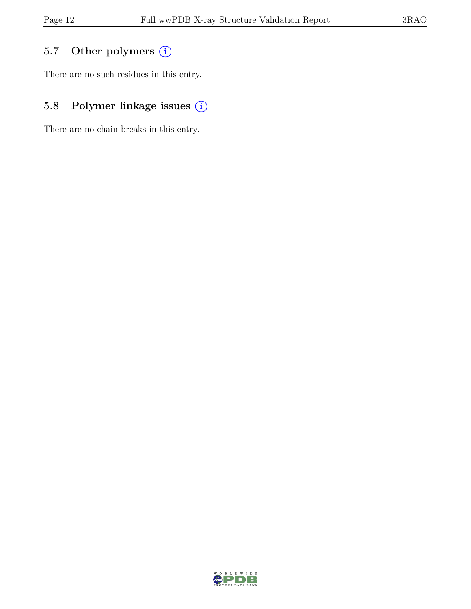## 5.7 Other polymers (i)

There are no such residues in this entry.

## 5.8 Polymer linkage issues  $(i)$

There are no chain breaks in this entry.

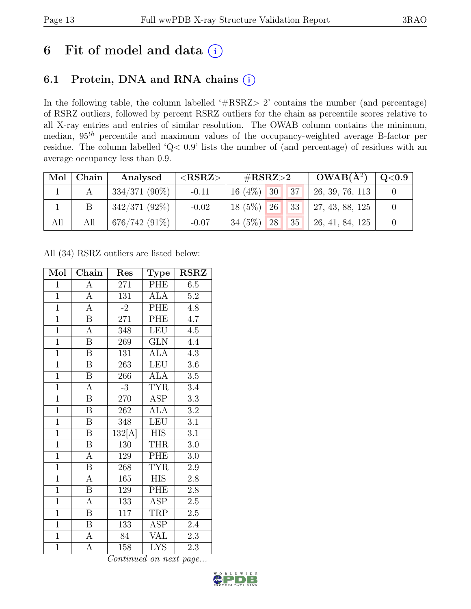## 6 Fit of model and data  $(i)$

### 6.1 Protein, DNA and RNA chains (i)

In the following table, the column labelled ' $\#\text{RSRZ}>2$ ' contains the number (and percentage) of RSRZ outliers, followed by percent RSRZ outliers for the chain as percentile scores relative to all X-ray entries and entries of similar resolution. The OWAB column contains the minimum, median,  $95<sup>th</sup>$  percentile and maximum values of the occupancy-weighted average B-factor per residue. The column labelled 'Q< 0.9' lists the number of (and percentage) of residues with an average occupancy less than 0.9.

|     | $Mol$   Chain | Analysed        | $<$ RSRZ $>$ | # $RSRZ>2$      |  | $OWAB(A^2)$ | Q <sub>0.9</sub> |  |
|-----|---------------|-----------------|--------------|-----------------|--|-------------|------------------|--|
|     | А             | $334/371(90\%)$ | $-0.11$      | $16(4\%)$ 30    |  | 37          | 26, 39, 76, 113  |  |
|     |               | $342/371(92\%)$ | $-0.02$      | $18(5\%)$ 26 33 |  |             | 27, 43, 88, 125  |  |
| All | All           | $676/742(91\%)$ | $-0.07$      | $34(5\%)$ 28    |  | 35          | 26, 41, 84, 125  |  |

All (34) RSRZ outliers are listed below:

| Mol            | Chain                   | Res    | Type                    | $\operatorname{RSRZ}$ |
|----------------|-------------------------|--------|-------------------------|-----------------------|
| $\mathbf{1}$   | А                       | 271    | PHE                     | $6.5\,$               |
| $\mathbf{1}$   | $\overline{A}$          | 131    | <b>ALA</b>              | $5.2\,$               |
| $\overline{1}$ | $\overline{A}$          | $-2$   | PHE                     | 4.8                   |
| $\overline{1}$ | $\boldsymbol{B}$        | 271    | PHE                     | $4.\overline{7}$      |
| $\overline{1}$ | $\overline{\rm A}$      | 348    | <b>LEU</b>              | $\overline{4.5}$      |
| $\overline{1}$ | $\boldsymbol{B}$        | 269    | <b>GLN</b>              | 4.4                   |
| $\overline{1}$ | $\overline{\mathrm{B}}$ | 131    | <b>ALA</b>              | 4.3                   |
| $\overline{1}$ | $\overline{B}$          | 263    | <b>LEU</b>              | $3.6\,$               |
| $\overline{1}$ | $\overline{\mathrm{B}}$ | 266    | <b>ALA</b>              | 3.5                   |
| $\overline{1}$ | $\overline{A}$          | $-3$   | <b>TYR</b>              | $3.4\,$               |
| $\overline{1}$ | $\overline{\mathbf{B}}$ | 270    | ASP                     | 3.3                   |
| $\overline{1}$ | $\overline{\mathbf{B}}$ | 262    | <b>ALA</b>              | $3.2\,$               |
| $\overline{1}$ | $\overline{B}$          | 348    | <b>LEU</b>              | 3.1                   |
| $\overline{1}$ | $\overline{B}$          | 132[A] | <b>HIS</b>              | 3.1                   |
| $\overline{1}$ | $\overline{\mathbf{B}}$ | 130    | <b>THR</b>              | $3.0\,$               |
| $\overline{1}$ | A                       | 129    | PHE                     | $3.0\,$               |
| $\overline{1}$ | $\overline{\mathrm{B}}$ | 268    | <b>TYR</b>              | $\overline{2.9}$      |
| $\overline{1}$ | A                       | 165    | <b>HIS</b>              | $2.8\,$               |
| $\overline{1}$ | $\overline{\mathbf{B}}$ | 129    | PHE                     | 2.8                   |
| $\overline{1}$ | A                       | 133    | ASP                     | $2.5\,$               |
| $\overline{1}$ | $\overline{B}$          | 117    | TRP                     | $\overline{2.5}$      |
| $\overline{1}$ | $\overline{\mathrm{B}}$ | 133    | <b>ASP</b>              | 2.4                   |
| $\overline{1}$ | $\overline{A}$          | 84     | <b>VAL</b>              | 2.3                   |
| $\overline{1}$ | $\overline{\rm A}$      | 158    | $\overline{\text{LYS}}$ | 2.3                   |

Continued on next page...

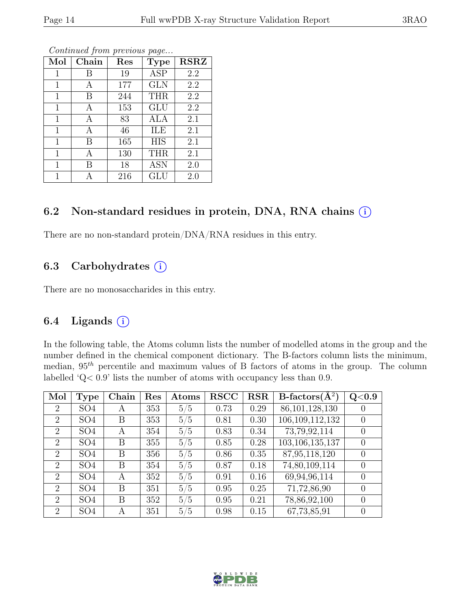| Mol          | Chain | $\operatorname{Res}% \left( \mathcal{N}\right) \equiv\operatorname*{Res}\left( \mathcal{N}\right)$ | <b>Type</b> | <b>RSRZ</b> |
|--------------|-------|----------------------------------------------------------------------------------------------------|-------------|-------------|
| 1            | Β     | 19                                                                                                 | <b>ASP</b>  | 2.2         |
| 1            | А     | 177                                                                                                | <b>GLN</b>  | 2.2         |
| $\mathbf{1}$ | В     | 244                                                                                                | <b>THR</b>  | 2.2         |
| 1            | А     | 153                                                                                                | GLU         | 2.2         |
| 1            | А     | 83                                                                                                 | ALA         | 2.1         |
| $\mathbf 1$  | Α     | 46                                                                                                 | ILE         | 2.1         |
| $\mathbf 1$  | В     | 165                                                                                                | <b>HIS</b>  | 2.1         |
| 1            | А     | 130                                                                                                | <b>THR</b>  | 2.1         |
| $\mathbf 1$  | В     | 18                                                                                                 | <b>ASN</b>  | 2.0         |
| 1            | А     | 216                                                                                                | GLU         | 2.0         |

Continued from previous page...

#### 6.2 Non-standard residues in protein, DNA, RNA chains  $(i)$

There are no non-standard protein/DNA/RNA residues in this entry.

### 6.3 Carbohydrates  $(i)$

There are no monosaccharides in this entry.

### 6.4 Ligands  $(i)$

In the following table, the Atoms column lists the number of modelled atoms in the group and the number defined in the chemical component dictionary. The B-factors column lists the minimum, median,  $95<sup>th</sup>$  percentile and maximum values of B factors of atoms in the group. The column labelled 'Q< 0.9' lists the number of atoms with occupancy less than 0.9.

| Mol            | <b>Type</b>     | Chain | Res | Atoms | <b>RSCC</b> | <b>RSR</b> | B-factors $(\overline{A^2})$ | Q <sub>0.9</sub> |
|----------------|-----------------|-------|-----|-------|-------------|------------|------------------------------|------------------|
| $\overline{2}$ | SO <sub>4</sub> | А     | 353 | 5/5   | 0.73        | 0.29       | 86,101,128,130               |                  |
| 2              | SO <sub>4</sub> | Β     | 353 | 5/5   | 0.81        | 0.30       | 106,109,112,132              | $\theta$         |
| $\overline{2}$ | SO <sub>4</sub> | A     | 354 | 5/5   | 0.83        | 0.34       | 73,79,92,114                 | $\theta$         |
| $\overline{2}$ | SO <sub>4</sub> | В     | 355 | 5/5   | 0.85        | 0.28       | 103, 106, 135, 137           |                  |
| $\overline{2}$ | SO <sub>4</sub> | В     | 356 | 5/5   | 0.86        | 0.35       | 87,95,118,120                | $\theta$         |
| $\overline{2}$ | SO <sub>4</sub> | В     | 354 | 5/5   | 0.87        | 0.18       | 74,80,109,114                |                  |
| 2              | SO <sub>4</sub> | A     | 352 | 5/5   | 0.91        | 0.16       | 69,94,96,114                 | $\theta$         |
| $\overline{2}$ | SO <sub>4</sub> | В     | 351 | 5/5   | 0.95        | 0.25       | 71,72,86,90                  | $\Omega$         |
| $\overline{2}$ | SO <sub>4</sub> | В     | 352 | 5/5   | 0.95        | 0.21       | 78,86,92,100                 | $\left( \right)$ |
| $\overline{2}$ | SO <sub>4</sub> | А     | 351 | 5/5   | 0.98        | 0.15       | 67,73,85,91                  | 0                |